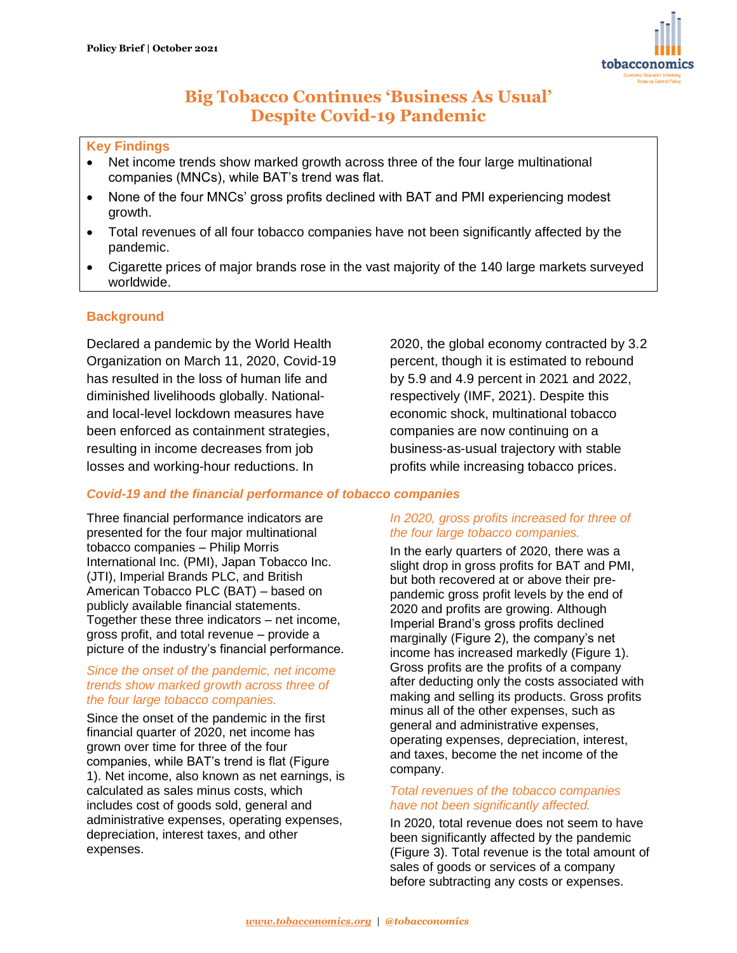

# **Big Tobacco Continues 'Business As Usual' Despite Covid-19 Pandemic**

## **Key Findings**

- Net income trends show marked growth across three of the four large multinational companies (MNCs), while BAT's trend was flat.
- None of the four MNCs' gross profits declined with BAT and PMI experiencing modest growth.
- Total revenues of all four tobacco companies have not been significantly affected by the pandemic.
- Cigarette prices of major brands rose in the vast majority of the 140 large markets surveyed worldwide.

# **Background**

Declared a pandemic by the World Health Organization on March 11, 2020, Covid-19 has resulted in the loss of human life and diminished livelihoods globally. Nationaland local-level lockdown measures have been enforced as containment strategies, resulting in income decreases from job losses and working-hour reductions. In

# *Covid-19 and the financial performance of tobacco companies*

Three financial performance indicators are presented for the four major multinational tobacco companies – Philip Morris International Inc. (PMI), Japan Tobacco Inc. (JTI), Imperial Brands PLC, and British American Tobacco PLC (BAT) – based on publicly available financial statements. Together these three indicators – net income, gross profit, and total revenue – provide a picture of the industry's financial performance.

#### *Since the onset of the pandemic, net income trends show marked growth across three of the four large tobacco companies.*

Since the onset of the pandemic in the first financial quarter of 2020, net income has grown over time for three of the four companies, while BAT's trend is flat (Figure 1). Net income, also known as net earnings, is calculated as sales minus costs, which includes cost of goods sold, general and administrative expenses, operating expenses, depreciation, interest taxes, and other expenses.

2020, the global economy contracted by 3.2 percent, though it is estimated to rebound by 5.9 and 4.9 percent in 2021 and 2022, respectively (IMF, 2021). Despite this economic shock, multinational tobacco companies are now continuing on a business-as-usual trajectory with stable profits while increasing tobacco prices.

#### *In 2020, gross profits increased for three of the four large tobacco companies.*

In the early quarters of 2020, there was a slight drop in gross profits for BAT and PMI, but both recovered at or above their prepandemic gross profit levels by the end of 2020 and profits are growing. Although Imperial Brand's gross profits declined marginally (Figure 2), the company's net income has increased markedly (Figure 1). Gross profits are the profits of a company after deducting only the costs associated with making and selling its products. Gross profits minus all of the other expenses, such as general and administrative expenses, operating expenses, depreciation, interest, and taxes, become the net income of the company.

## *Total revenues of the tobacco companies have not been significantly affected.*

In 2020, total revenue does not seem to have been significantly affected by the pandemic (Figure 3). Total revenue is the total amount of sales of goods or services of a company before subtracting any costs or expenses.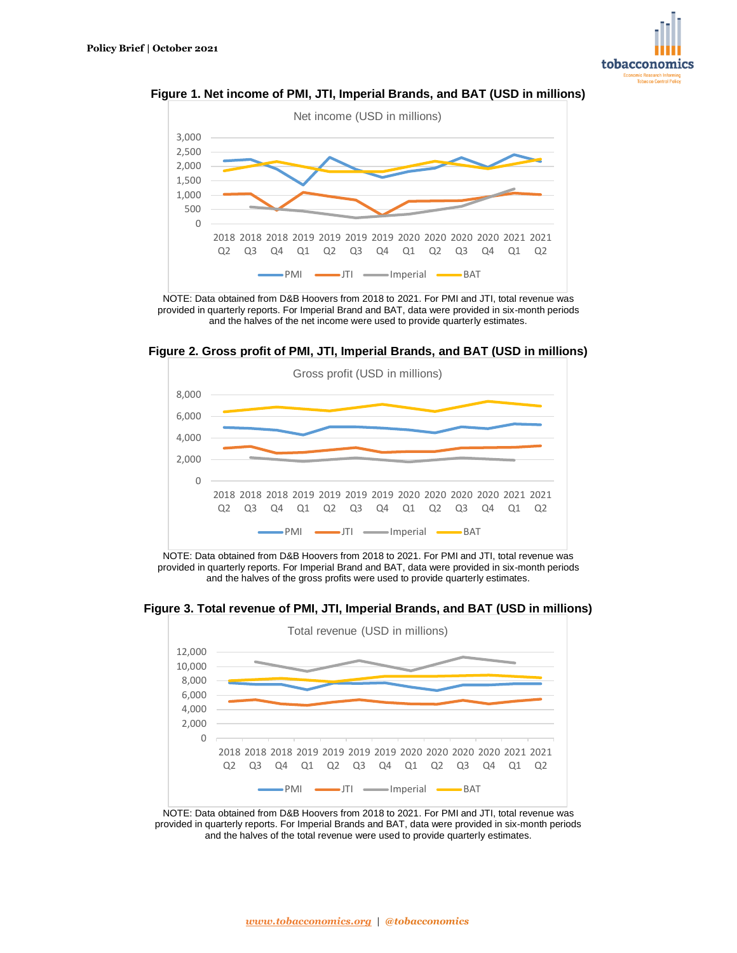





NOTE: Data obtained from D&B Hoovers from 2018 to 2021. For PMI and JTI, total revenue was provided in quarterly reports. For Imperial Brand and BAT, data were provided in six-month periods and the halves of the net income were used to provide quarterly estimates.

**Figure 2. Gross profit of PMI, JTI, Imperial Brands, and BAT (USD in millions)**



NOTE: Data obtained from D&B Hoovers from 2018 to 2021. For PMI and JTI, total revenue was provided in quarterly reports. For Imperial Brand and BAT, data were provided in six-month periods and the halves of the gross profits were used to provide quarterly estimates.

**Figure 3. Total revenue of PMI, JTI, Imperial Brands, and BAT (USD in millions)**



NOTE: Data obtained from D&B Hoovers from 2018 to 2021. For PMI and JTI, total revenue was provided in quarterly reports. For Imperial Brands and BAT, data were provided in six-month periods and the halves of the total revenue were used to provide quarterly estimates.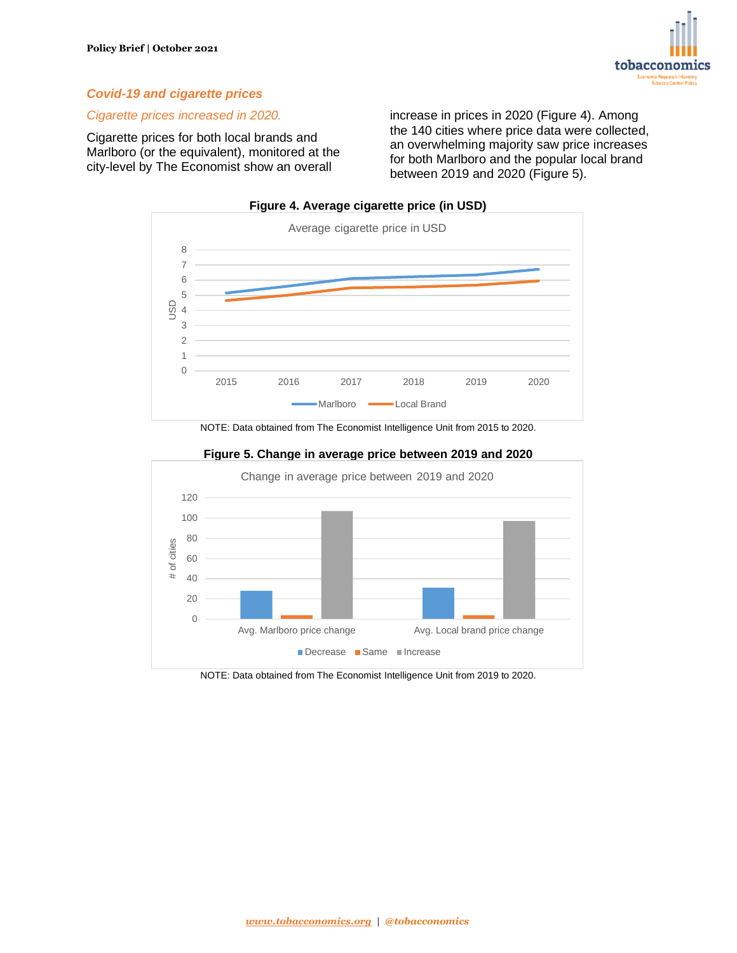

# *Covid-19 and cigarette prices*

#### *Cigarette prices increased in 2020.*

Cigarette prices for both local brands and Marlboro (or the equivalent), monitored at the city-level by The Economist show an overall

increase in prices in 2020 (Figure 4). Among the 140 cities where price data were collected, an overwhelming majority saw price increases for both Marlboro and the popular local brand between 2019 and 2020 (Figure 5).



# NOTE: Data obtained from The Economist Intelligence Unit from 2015 to 2020.



## **Figure 5. Change in average price between 2019 and 2020**

NOTE: Data obtained from The Economist Intelligence Unit from 2019 to 2020.